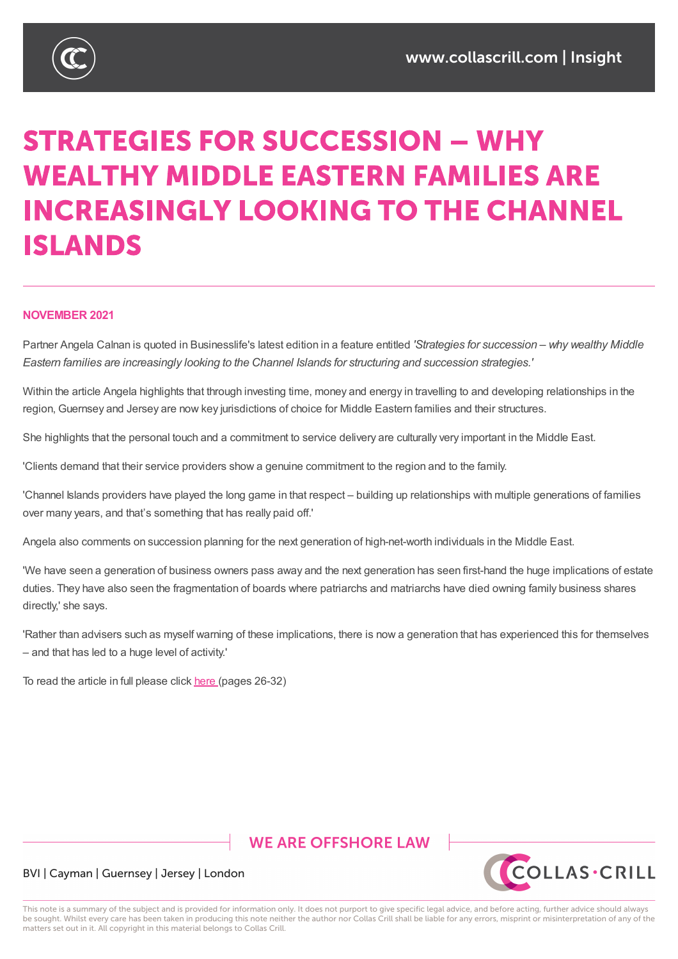

# **STRATEGIES FOR SUCCESSION - WHY WEALTHY MIDDLE EASTERN FAMILIES ARE INCREASINGLY LOOKING TO THE CHANNEL ISLANDS**

#### **NOVEMBER 2021**

Partner Angela Calnan is quoted in Businesslife's latest edition in a feature entitled *'Strategies for succession – why wealthy Middle Eastern families are increasingly looking to the Channel Islands for structuring and succession strategies.'*

Within the article Angela highlights that through investing time, money and energy in travelling to and developing relationships in the region, Guernsey and Jersey are now key jurisdictions of choice for Middle Eastern families and their structures.

She highlights that the personal touch and a commitment to service delivery are culturally very important in the Middle East.

'Clients demand that their service providers show a genuine commitment to the region and to the family.

'Channel Islands providers have played the long game in that respect – building up relationships with multiple generations of families over many years, and that's something that has really paid off.'

Angela also comments on succession planning for the next generation of high-net-worth individuals in the Middle East.

'We have seen a generation of business owners pass away and the next generation has seen first-hand the huge implications of estate duties. They have also seen the fragmentation of boards where patriarchs and matriarchs have died owning family business shares directly,' she says.

'Rather than advisers such as myself warning of these implications, there is now a generation that has experienced this for themselves – and that has led to a huge level of activity.'

To read the article in full please click here (pages 26-32)

### **WE ARE OFFSHORE LAW**



#### BVI | Cayman | Guernsey | Jersey | London

This note is a summary of the subject and is provided for information only. It does not purport to give specific legal advice, and before acting, further advice should always be sought. Whilst every care has been taken in producing this note neither the author nor Collas Crill shall be liable for any errors, misprint or misinterpretation of any of the matters set out in it. All copyright in this material belongs to Collas Crill.